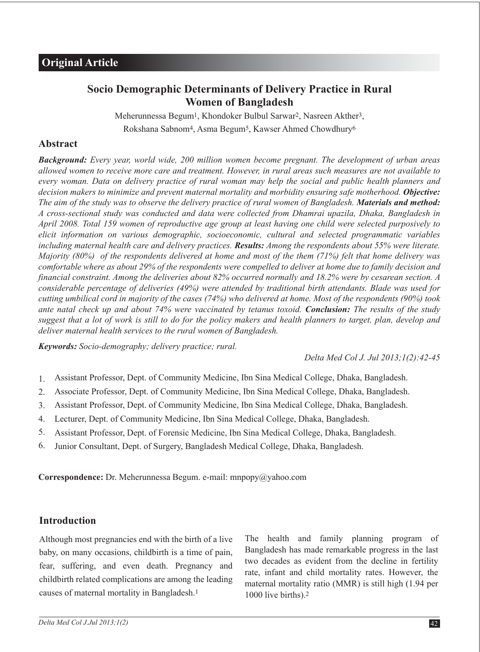# **Socio Demographic Determinants of Delivery Practice in Rural Women of Bangladesh**

Meherunnessa Begum1, Khondoker Bulbul Sarwar2, Nasreen Akther3, Rokshana Sabnom4, Asma Begum5, Kawser Ahmed Chowdhury6

# **Abstract**

*Background: Every year, world wide, 200 million women become pregnant. The development of urban areas allowed women to receive more care and treatment. However, in rural areas such measures are not available to every woman. Data on delivery practice of rural woman may help the social and public health planners and decision makers to minimize and prevent maternal mortality and morbidity ensuring safe motherhood. Objective: The aim of the study was to observe the delivery practice of rural women of Bangladesh. Materials and method: A cross-sectional study was conducted and data were collected from Dhamrai upazila, Dhaka, Bangladesh in April 2008. Total 159 women of reproductive age group at least having one child were selected purposively to elicit information on various demographic, socioeconomic, cultural and selected programmatic variables including maternal health care and delivery practices. Results: Among the respondents about 55% were literate. Majority (80%) of the respondents delivered at home and most of the them (71%) felt that home delivery was comfortable where as about 29% of the respondents were compelled to deliver at home due to family decision and financial constraint. Among the deliveries about 82% occurred normally and 18.2% were by cesarean section. A considerable percentage of deliveries (49%) were attended by traditional birth attendants. Blade was used for cutting umbilical cord in majority of the cases (74%) who delivered at home. Most of the respondents (90%) took ante natal check up and about 74% were vaccinated by tetanus toxoid. Conclusion: The results of the study suggest that a lot of work is still to do for the policy makers and health planners to target, plan, develop and deliver maternal health services to the rural women of Bangladesh.*

*Keywords: Socio-demography; delivery practice; rural.*

*Delta Med Col J. Jul 2013;1(2):42-45*

- Assistant Professor, Dept. of Community Medicine, Ibn Sina Medical College, Dhaka, Bangladesh. 1.
- Associate Professor, Dept. of Community Medicine, Ibn Sina Medical College, Dhaka, Bangladesh. 2.
- Assistant Professor, Dept. of Community Medicine, Ibn Sina Medical College, Dhaka, Bangladesh. 3.
- Lecturer, Dept. of Community Medicine, Ibn Sina Medical College, Dhaka, Bangladesh. 4.
- Assistant Professor, Dept. of Forensic Medicine, Ibn Sina Medical College, Dhaka, Bangladesh. 5.
- Junior Consultant, Dept. of Surgery, Bangladesh Medical College, Dhaka, Bangladesh. 6.

**Correspondence:** Dr. Meherunnessa Begum. e-mail: mnpopy@yahoo.com

#### **Introduction**

Although most pregnancies end with the birth of a live baby, on many occasions, childbirth is a time of pain, fear, suffering, and even death. Pregnancy and childbirth related complications are among the leading causes of maternal mortality in Bangladesh.1

The health and family planning program of Bangladesh has made remarkable progress in the last two decades as evident from the decline in fertility rate, infant and child mortality rates. However, the maternal mortality ratio (MMR) is still high (1.94 per 1000 live births).2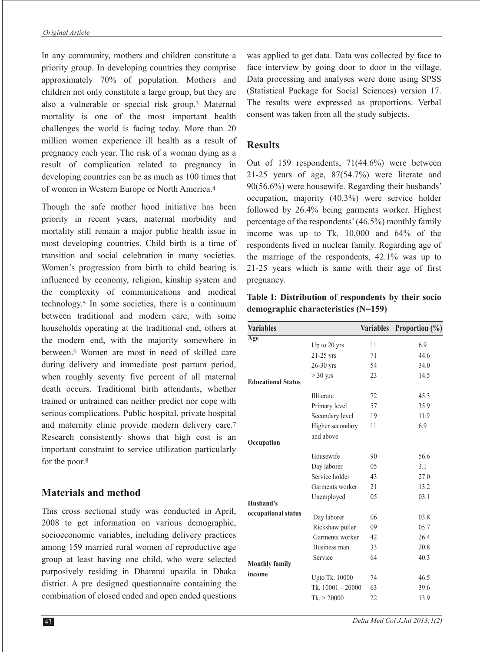In any community, mothers and children constitute a priority group. In developing countries they comprise approximately 70% of population. Mothers and children not only constitute a large group, but they are also a vulnerable or special risk group.3 Maternal mortality is one of the most important health challenges the world is facing today. More than 20 million women experience ill health as a result of pregnancy each year. The risk of a woman dying as a result of complication related to pregnancy in developing countries can be as much as 100 times that of women in Western Europe or North America.4

Though the safe mother hood initiative has been priority in recent years, maternal morbidity and mortality still remain a major public health issue in most developing countries. Child birth is a time of transition and social celebration in many societies. Women's progression from birth to child bearing is influenced by economy, religion, kinship system and the complexity of communications and medical technology.5 In some societies, there is a continuum between traditional and modern care, with some households operating at the traditional end, others at the modern end, with the majority somewhere in between.6 Women are most in need of skilled care during delivery and immediate post partum period, when roughly seventy five percent of all maternal death occurs. Traditional birth attendants, whether trained or untrained can neither predict nor cope with serious complications. Public hospital, private hospital and maternity clinic provide modern delivery care.7 Research consistently shows that high cost is an important constraint to service utilization particularly for the poor.8

### **Materials and method**

This cross sectional study was conducted in April, 2008 to get information on various demographic, socioeconomic variables, including delivery practices among 159 married rural women of reproductive age group at least having one child, who were selected purposively residing in Dhamrai upazila in Dhaka district. A pre designed questionnaire containing the combination of closed ended and open ended questions

was applied to get data. Data was collected by face to face interview by going door to door in the village. Data processing and analyses were done using SPSS (Statistical Package for Social Sciences) version 17. The results were expressed as proportions. Verbal consent was taken from all the study subjects.

# **Results**

Out of 159 respondents, 71(44.6%) were between 21-25 years of age, 87(54.7%) were literate and 90(56.6%) were housewife. Regarding their husbands' occupation, majority (40.3%) were service holder followed by 26.4% being garments worker. Highest percentage of the respondents' (46.5%) monthly family income was up to Tk. 10,000 and 64% of the respondents lived in nuclear family. Regarding age of the marriage of the respondents, 42.1% was up to 21-25 years which is same with their age of first pregnancy.

**Table I: Distribution of respondents by their socio demographic characteristics (N=159)**

| <b>Variables</b>          |                               | <b>Variables</b> | Proportion $(\%)$ |
|---------------------------|-------------------------------|------------------|-------------------|
| Age                       |                               |                  |                   |
|                           | Up to 20 yrs                  | 11               | 6.9               |
|                           | $21-25$ yrs                   | 71               | 44.6              |
|                           | 26-30 yrs                     | 54               | 34.0              |
| <b>Educational Status</b> | $>$ 30 yrs                    | 23               | 14.5              |
|                           | Illiterate                    | 72               | 45.3              |
|                           | Primary level                 | 57               | 35.9              |
|                           | Secondary level               | 19               | 11.9              |
|                           | Higher secondary<br>and above | 11               | 6.9               |
| Occupation                |                               |                  |                   |
|                           | Housewife                     | 90               | 56.6              |
|                           | Day laborer                   | 05               | 3.1               |
|                           | Service holder                | 43               | 27.0              |
|                           | Garments worker               | 21               | 13.2              |
| Husband's                 | Unemployed                    | 05               | 03.1              |
| occupational status       | Day laborer                   | 06               | 03.8              |
|                           | Rickshaw puller               | 09               | 05.7              |
|                           | Garments worker               | 42               | 26.4              |
|                           | Business man                  | 33               | 20.8              |
| <b>Monthly family</b>     | Service                       | 64               | 40.3              |
| income                    |                               |                  |                   |
|                           | Upto Tk. 10000                | 74               | 46.5              |
|                           | Tk. $10001 - 20000$           | 63               | 39.6              |
|                           | Tk > 20000                    | 22               | 13.9              |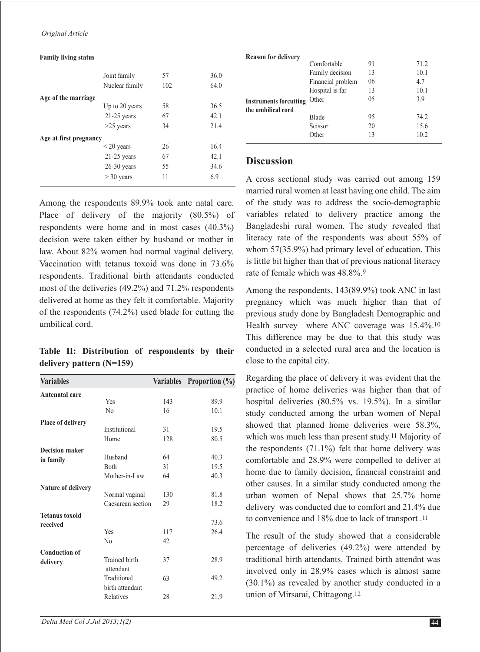#### **Family living status**

|                        | Joint family    | 57  | 36.0 |
|------------------------|-----------------|-----|------|
|                        | Nuclear family  | 102 | 64.0 |
| Age of the marriage    |                 |     |      |
|                        | Up to 20 years  | 58  | 36.5 |
|                        | $21-25$ years   | 67  | 42.1 |
|                        | $>25$ years     | 34  | 21.4 |
| Age at first pregnancy |                 |     |      |
|                        | $\leq$ 20 years | 26  | 16.4 |
|                        | $21-25$ years   | 67  | 42.1 |
|                        | $26-30$ years   | 55  | 34.6 |
|                        | $>$ 30 years    | 11  | 6.9  |

Among the respondents 89.9% took ante natal care. Place of delivery of the majority (80.5%) of respondents were home and in most cases (40.3%) decision were taken either by husband or mother in law. About 82% women had normal vaginal delivery. Vaccination with tetanus toxoid was done in 73.6% respondents. Traditional birth attendants conducted most of the deliveries (49.2%) and 71.2% respondents delivered at home as they felt it comfortable. Majority of the respondents (74.2%) used blade for cutting the umbilical cord.

#### **Table II: Distribution of respondents by their delivery pattern (N=159)**

| <b>Variables</b>          |                      | <b>Variables</b> | <b>Proportion</b> $(\%)$ |
|---------------------------|----------------------|------------------|--------------------------|
| <b>Antenatal care</b>     |                      |                  |                          |
|                           | Yes                  | 143              | 89.9                     |
|                           | N <sub>0</sub>       | 16               | 10.1                     |
| <b>Place of delivery</b>  |                      |                  |                          |
|                           | Institutional        | 31               | 19.5                     |
|                           | Home                 | 128              | 80.5                     |
| <b>Decision maker</b>     |                      |                  |                          |
| in family                 | Husband              | 64               | 40.3                     |
|                           | <b>B</b> oth         | 31               | 19.5                     |
|                           | Mother-in-Law        | 64               | 40.3                     |
| <b>Nature of delivery</b> |                      |                  |                          |
|                           | Normal vaginal       | 130              | 81.8                     |
|                           | Caesarean section    | 29               | 18.2                     |
| <b>Tetanus toxoid</b>     |                      |                  |                          |
| received                  |                      |                  | 73.6                     |
|                           | Yes                  | 117              | 26.4                     |
|                           | N <sub>0</sub>       | 42               |                          |
| <b>Conduction of</b>      |                      |                  |                          |
| delivery                  | <b>Trained birth</b> | 37               | 28.9                     |
|                           | attendant            |                  |                          |
|                           | Traditional          | 63               | 49.2                     |
|                           | birth attendant      |                  |                          |
|                           | Relatives            | 28               | 21.9                     |
|                           |                      |                  |                          |

| <b>Reason for delivery</b>    |                   |     |      |
|-------------------------------|-------------------|-----|------|
|                               | Comfortable       | 91  | 71.2 |
|                               | Family decision   | 13  | 10.1 |
|                               | Financial problem | 06  | 4.7  |
|                               | Hospital is far   | 13  | 10.1 |
| <b>Instruments forcutting</b> | Other             | 0.5 | 3.9  |
| the umbilical cord            |                   |     |      |
|                               | Blade             | 95  | 74.2 |
|                               | Scissor           | 20  | 15.6 |
|                               | Other             | 13  | 10.2 |

#### **Discussion**

A cross sectional study was carried out among 159 married rural women at least having one child. The aim of the study was to address the socio-demographic variables related to delivery practice among the Bangladeshi rural women. The study revealed that literacy rate of the respondents was about 55% of whom 57(35.9%) had primary level of education. This is little bit higher than that of previous national literacy rate of female which was 48.8%.9

Among the respondents, 143(89.9%) took ANC in last pregnancy which was much higher than that of previous study done by Bangladesh Demographic and Health survey where ANC coverage was 15.4%.10 This difference may be due to that this study was conducted in a selected rural area and the location is close to the capital city.

Regarding the place of delivery it was evident that the practice of home deliveries was higher than that of hospital deliveries (80.5% vs. 19.5%). In a similar study conducted among the urban women of Nepal showed that planned home deliveries were 58.3%, which was much less than present study.11 Majority of the respondents  $(71.1\%)$  felt that home delivery was comfortable and 28.9% were compelled to deliver at home due to family decision, financial constraint and other causes. In a similar study conducted among the urban women of Nepal shows that 25.7% home delivery was conducted due to comfort and 21.4% due to convenience and 18% due to lack of transport .11

The result of the study showed that a considerable percentage of deliveries (49.2%) were attended by traditional birth attendants. Trained birth attendnt was involved only in 28.9% cases which is almost same (30.1%) as revealed by another study conducted in a union of Mirsarai, Chittagong.12